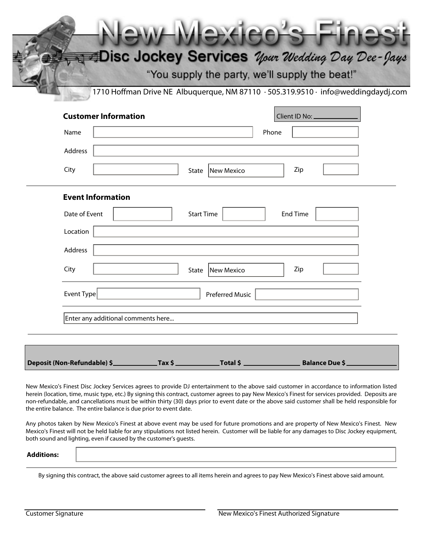Disc Jockey Services *Your Wedding Day Dee-Jays* "You supply the party, we'll supply the beat!" 1710 Hoffman Drive NE Albuquerque, NM 87110 · 505.319.9510 · info@weddingdaydj.com **Customer Information** Client ID No: Name Phone Address City | City | State | New Mexico | Zip **Event Information** Date of Event  $\vert$  Start Time  $\vert$  End Time Location Address City | City | State | New Mexico | Zip Event Type **Preferred Music** Enter any additional comments here...**Deposit (Non-Refundable) \$ Tax \$ Total \$ Balance Due \$**

New Mexico's Finest Disc Jockey Services agrees to provide DJ entertainment to the above said customer in accordance to information listed herein (location, time, music type, etc.) By signing this contract, customer agrees to pay New Mexico's Finest for services provided. Deposits are non-refundable, and cancellations must be within thirty (30) days prior to event date or the above said customer shall be held responsible for the entire balance. The entire balance is due prior to event date.

Any photos taken by New Mexico's Finest at above event may be used for future promotions and are property of New Mexico's Finest. New Mexico's Finest will not be held liable for any stipulations not listed herein. Customer will be liable for any damages to Disc Jockey equipment, both sound and lighting, even if caused by the customer's guests.

**Additions:**

By signing this contract, the above said customer agrees to all items herein and agrees to pay New Mexico's Finest above said amount.